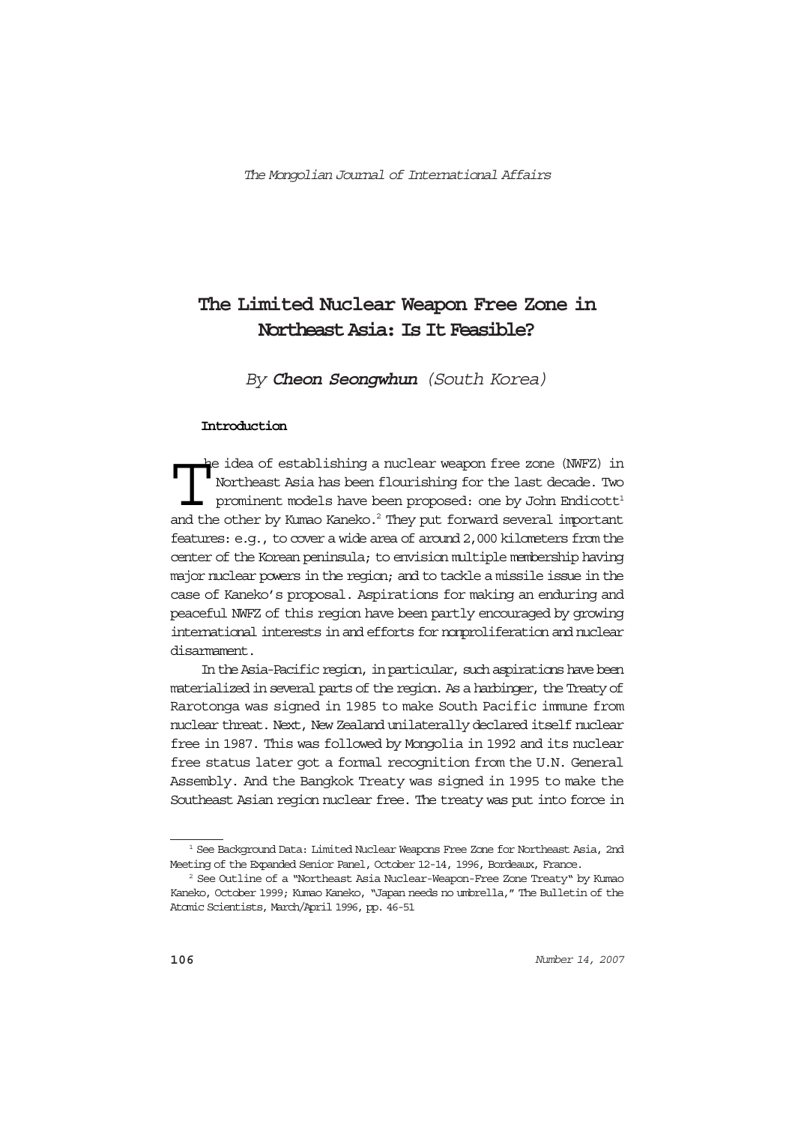# **The Limited Nuclear Weapon Free Zone in Northeast Asia: Is It Feasible?**

By **Cheon Seongwhun** (South Korea)

#### **Introduction**

The idea of establishing a nuclear weapon free zone (NWFZ) in Northeast Asia has been flourishing for the last decade. Two prominent models have been proposed: one by John Endicott<sup>1</sup> and the other by Kumao Kaneko.<sup>2</sup> They he idea of establishing a nuclear weapon free zone (NWFZ) in Northeast Asia has been flourishing for the last decade. Two prominent models have been proposed: one by John Endicott<sup>1</sup> features: e.g., to cover a wide area of around 2,000 kilometers from the center of the Korean peninsula; to envision multiple membership having major nuclear powers in the region; and to tackle a missile issue in the case of Kaneko's proposal. Aspirations for making an enduring and peaceful NWFZ of this region have been partly encouraged by growing international interests in and efforts for nonproliferation and nuclear disarmament.

In the Asia-Pacific region, in particular, such aspirations have been materialized in several parts of the region. As a harbinger, the Treaty of Rarotonga was signed in 1985 to make South Pacific immune from nuclear threat. Next, New Zealand unilaterally declared itself nuclear free in 1987. This was followed by Mongolia in 1992 and its nuclear free status later got a formal recognition from the U.N. General Assembly. And the Bangkok Treaty was signed in 1995 to make the Southeast Asian region nuclear free. The treaty was put into force in

<sup>&</sup>lt;sup>1</sup> See Background Data: Limited Nuclear Weapons Free Zone for Northeast Asia, 2nd Meeting of the Expanded Senior Panel, October 12-14, 1996, Bordeaux, France.

<sup>2</sup> See Outline of a "Northeast Asia Nuclear-Weapon-Free Zone Treaty" by Kumao Kaneko, October 1999; Kumao Kaneko, "Japan needs no umbrella," The Bulletin of the Atomic Scientists, March/April 1996, pp. 46-51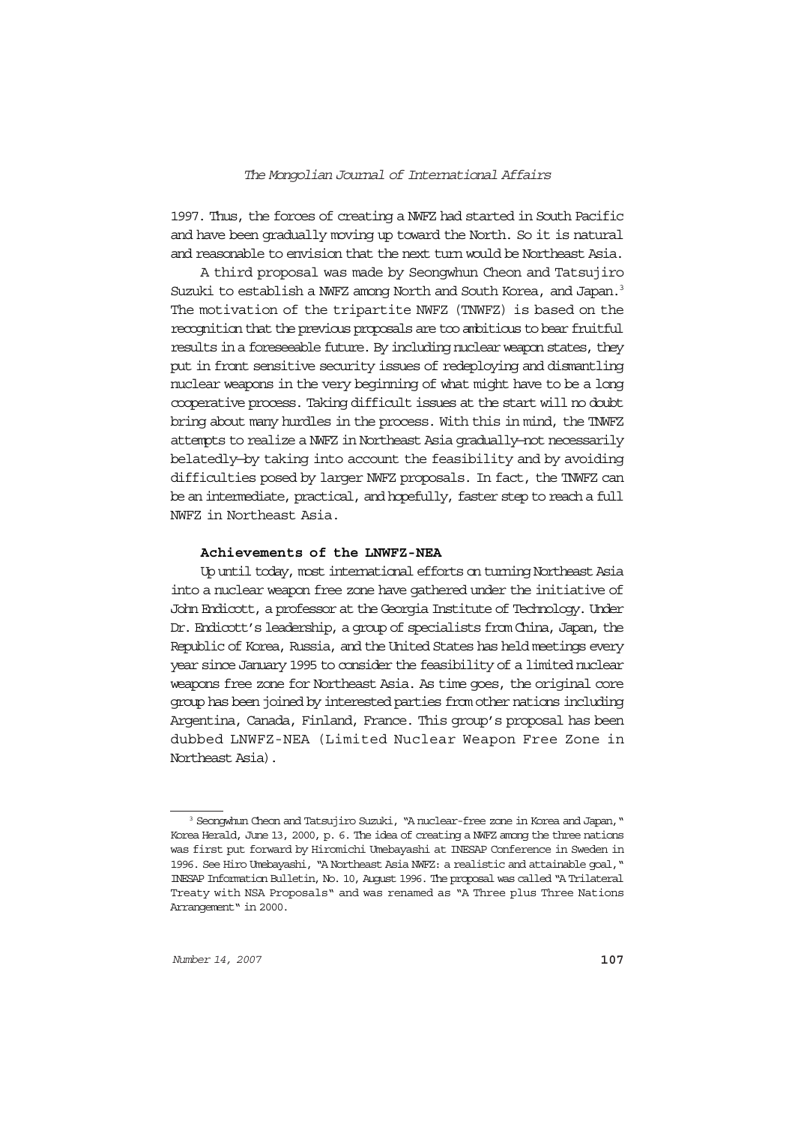1997. Thus, the forces of creating a NWFZ had started in South Pacific and have been gradually moving up toward the North. So it is natural and reasonable to envision that the next turn would be Northeast Asia.

A third proposal was made by Seongwhun Cheon and Tatsujiro Suzuki to establish a NWFZ among North and South Korea, and Japan.<sup>3</sup> The motivation of the tripartite NWFZ (TNWFZ) is based on the recognition that the previous proposals are too ambitious to bear fruitful results in a foreseeable future. By including nuclear weapon states, they put in front sensitive security issues of redeploying and dismantling nuclear weapons in the very beginning of what might have to be a long cooperative process. Taking difficult issues at the start will no doubt bring about many hurdles in the process. With this in mind, the TNWFZ attempts to realize a NWFZ in Northeast Asia gradually—not necessarily belatedly—by taking into account the feasibility and by avoiding difficulties posed by larger NWFZ proposals. In fact, the TNWFZ can be an intermediate, practical, and hopefully, faster step to reach a full NWFZ in Northeast Asia.

## **Achievements of the LNWFZ-NEA**

Up until today, most international efforts on turning Northeast Asia into a nuclear weapon free zone have gathered under the initiative of John Endicott, a professor at the Georgia Institute of Technology. Under Dr. Endicott's leadership, a group of specialists from China, Japan, the Republic of Korea, Russia, and the United States has held meetings every year since January 1995 to consider the feasibility of a limited nuclear weapons free zone for Northeast Asia. As time goes, the original core group has been joined by interested parties from other nations including Argentina, Canada, Finland, France. This group's proposal has been dubbed LNWFZ-NEA (Limited Nuclear Weapon Free Zone in Northeast Asia).

<sup>&</sup>lt;sup>3</sup> Seongwhun Cheon and Tatsujiro Suzuki, "A nuclear-free zone in Korea and Japan," Korea Herald, June 13, 2000, p. 6. The idea of creating a NWFZ among the three nations was first put forward by Hiromichi Umebayashi at INESAP Conference in Sweden in 1996. See Hiro Umebayashi, "A Northeast Asia NWFZ: a realistic and attainable goal," INESAP Information Bulletin, No. 10, August 1996. The proposal was called "A Trilateral Treaty with NSA Proposals" and was renamed as "A Three plus Three Nations Arrangement" in 2000.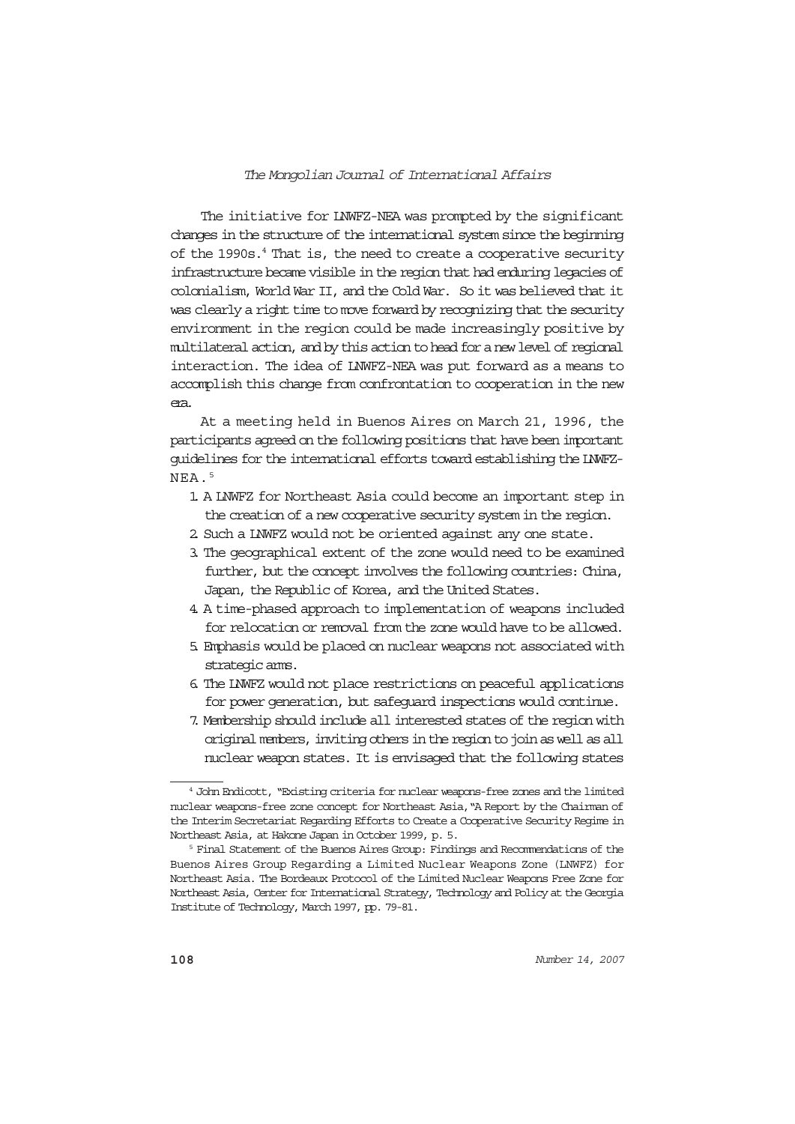The initiative for LNWFZ-NEA was prompted by the significant changes in the structure of the international system since the beginning of the 1990s.<sup>4</sup> That is, the need to create a cooperative security infrastructure became visible in the region that had enduring legacies of colonialism, World War II, and the Cold War. So it was believed that it was clearly a right time to move forward by recognizing that the security environment in the region could be made increasingly positive by multilateral action, and by this action to head for a new level of regional interaction. The idea of LNWFZ-NEA was put forward as a means to accomplish this change from confrontation to cooperation in the new era.

At a meeting held in Buenos Aires on March 21, 1996, the participants agreed on the following positions that have been important guidelines for the international efforts toward establishing the LNWFZ-NEA.5

- 1. A LNWFZ for Northeast Asia could become an important step in the creation of a new cooperative security system in the region.
- 2. Such a LNWFZ would not be oriented against any one state.
- 3. The geographical extent of the zone would need to be examined further, but the concept involves the following countries: China, Japan, the Republic of Korea, and the United States.
- 4. A time-phased approach to implementation of weapons included for relocation or removal from the zone would have to be allowed.
- 5. Emphasis would be placed on nuclear weapons not associated with strategic arms.
- 6. The LNWFZ would not place restrictions on peaceful applications for power generation, but safeguard inspections would continue.
- 7. Membership should include all interested states of the region with original members, inviting others in the region to join as well as all nuclear weapon states. It is envisaged that the following states

<sup>4</sup> John Endicott, "Existing criteria for nuclear weapons-free zones and the limited nuclear weapons-free zone concept for Northeast Asia,"A Report by the Chairman of the Interim Secretariat Regarding Efforts to Create a Cooperative Security Regime in Northeast Asia, at Hakone Japan in October 1999, p. 5.

<sup>&</sup>lt;sup>5</sup> Final Statement of the Buenos Aires Group: Findings and Recommendations of the Buenos Aires Group Regarding a Limited Nuclear Weapons Zone (LNWFZ) for Northeast Asia. The Bordeaux Protocol of the Limited Nuclear Weapons Free Zone for Northeast Asia, Center for International Strategy, Technology and Policy at the Georgia Institute of Technology, March 1997, pp. 79-81.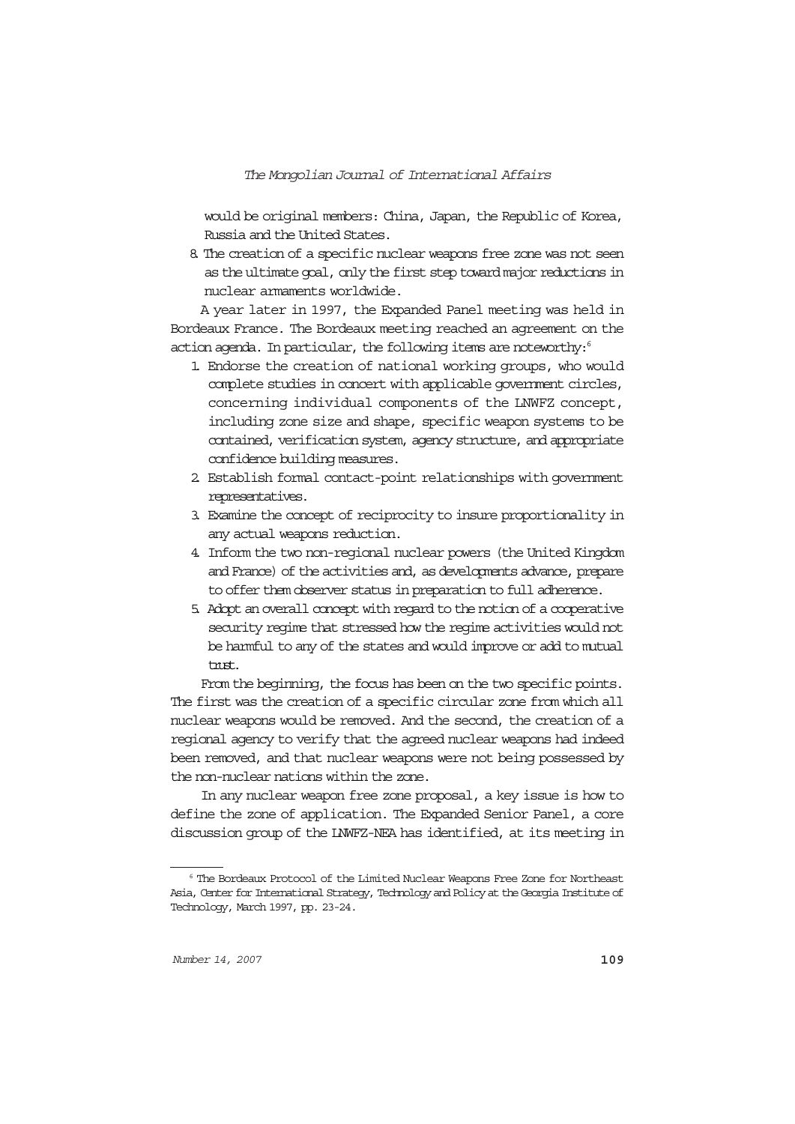would be original members: China, Japan, the Republic of Korea, Russia and the United States.

8. The creation of a specific nuclear weapons free zone was not seen as the ultimate goal, only the first step toward major reductions in nuclear armaments worldwide.

A year later in 1997, the Expanded Panel meeting was held in Bordeaux France. The Bordeaux meeting reached an agreement on the action agenda. In particular, the following items are noteworthy:<sup>6</sup>

- 1. Endorse the creation of national working groups, who would complete studies in concert with applicable government circles, concerning individual components of the LNWFZ concept, including zone size and shape, specific weapon systems to be contained, verification system, agency structure, and appropriate confidence building measures.
- 2. Establish formal contact-point relationships with government representatives.
- 3. Examine the concept of reciprocity to insure proportionality in any actual weapons reduction.
- 4. Inform the two non-regional nuclear powers (the United Kingdom and France) of the activities and, as developments advance, prepare to offer them observer status in preparation to full adherence.
- 5. Adopt an overall concept with regard to the notion of a cooperative security regime that stressed how the regime activities would not be harmful to any of the states and would improve or add to mutual trust.

From the beginning, the focus has been on the two specific points. The first was the creation of a specific circular zone from which all nuclear weapons would be removed. And the second, the creation of a regional agency to verify that the agreed nuclear weapons had indeed been removed, and that nuclear weapons were not being possessed by the non-nuclear nations within the zone.

In any nuclear weapon free zone proposal, a key issue is how to define the zone of application. The Expanded Senior Panel, a core discussion group of the LNWFZ-NEA has identified, at its meeting in

<sup>6</sup> The Bordeaux Protocol of the Limited Nuclear Weapons Free Zone for Northeast Asia, Center for International Strategy, Technology and Policy at the Georgia Institute of Technology, March 1997, pp. 23-24.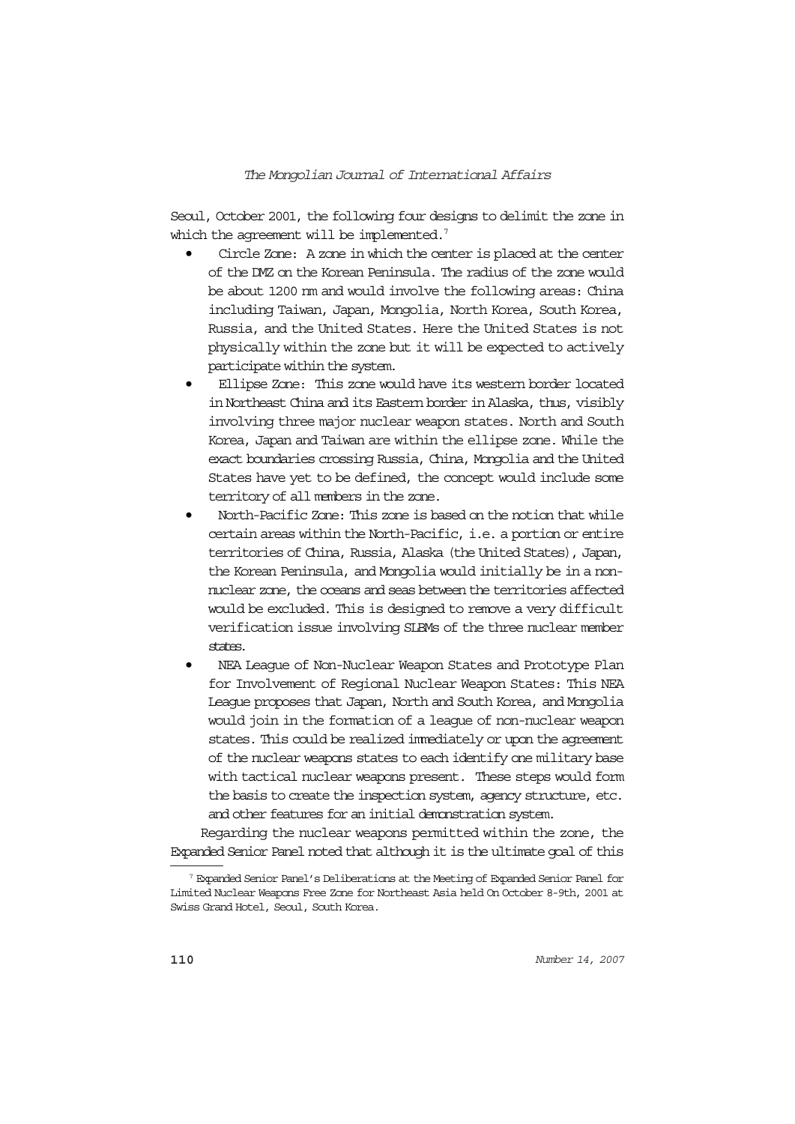Seoul, October 2001, the following four designs to delimit the zone in which the agreement will be implemented.<sup>7</sup>

- Circle Zone: A zone in which the center is placed at the center of the DMZ on the Korean Peninsula. The radius of the zone would be about 1200 nm and would involve the following areas: China including Taiwan, Japan, Mongolia, North Korea, South Korea, Russia, and the United States. Here the United States is not physically within the zone but it will be expected to actively participate within the system.
- Ellipse Zone: This zone would have its western border located in Northeast China and its Eastern border in Alaska, thus, visibly involving three major nuclear weapon states. North and South Korea, Japan and Taiwan are within the ellipse zone. While the exact boundaries crossing Russia, China, Mongolia and the United States have yet to be defined, the concept would include some territory of all members in the zone.
- North-Pacific Zone: This zone is based on the notion that while certain areas within the North-Pacific, i.e. a portion or entire territories of China, Russia, Alaska (the United States), Japan, the Korean Peninsula, and Mongolia would initially be in a nonnuclear zone, the oceans and seas between the territories affected would be excluded. This is designed to remove a very difficult verification issue involving SLBMs of the three nuclear member states.
- NEA League of Non-Nuclear Weapon States and Prototype Plan for Involvement of Regional Nuclear Weapon States: This NEA League proposes that Japan, North and South Korea, and Mongolia would join in the formation of a league of non-nuclear weapon states. This could be realized immediately or upon the agreement of the nuclear weapons states to each identify one military base with tactical nuclear weapons present. These steps would form the basis to create the inspection system, agency structure, etc. and other features for an initial demonstration system.

Regarding the nuclear weapons permitted within the zone, the Expanded Senior Panel noted that although it is the ultimate goal of this

<sup>7</sup> Expanded Senior Panel's Deliberations at the Meeting of Expanded Senior Panel for Limited Nuclear Weapons Free Zone for Northeast Asia held On October 8-9th, 2001 at Swiss Grand Hotel, Seoul, South Korea.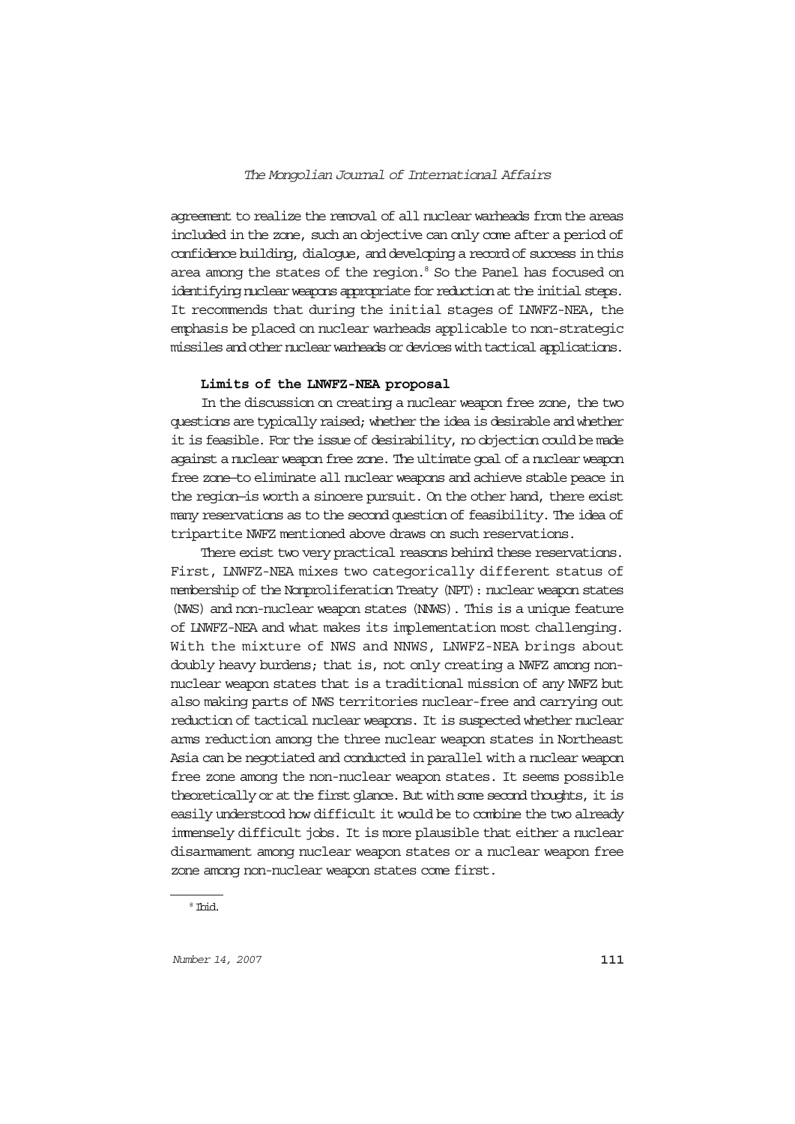agreement to realize the removal of all nuclear warheads from the areas included in the zone, such an objective can only come after a period of confidence building, dialogue, and developing a record of success in this area among the states of the region.<sup>8</sup> So the Panel has focused on identifying nuclear weapons appropriate for reduction at the initial steps. It recommends that during the initial stages of LNWFZ-NEA, the emphasis be placed on nuclear warheads applicable to non-strategic missiles and other nuclear warheads or devices with tactical applications.

#### **Limits of the LNWFZ-NEA proposal**

In the discussion on creating a nuclear weapon free zone, the two questions are typically raised; whether the idea is desirable and whether it is feasible. For the issue of desirability, no objection could be made against a nuclear weapon free zone. The ultimate goal of a nuclear weapon free zone—to eliminate all nuclear weapons and achieve stable peace in the region—is worth a sincere pursuit. On the other hand, there exist many reservations as to the second question of feasibility. The idea of tripartite NWFZ mentioned above draws on such reservations.

There exist two very practical reasons behind these reservations. First, LNWFZ-NEA mixes two categorically different status of membership of the Nonproliferation Treaty (NPT): nuclear weapon states (NWS) and non-nuclear weapon states (NNWS). This is a unique feature of LNWFZ-NEA and what makes its implementation most challenging. With the mixture of NWS and NNWS, LNWFZ-NEA brings about doubly heavy burdens; that is, not only creating a NWFZ among nonnuclear weapon states that is a traditional mission of any NWFZ but also making parts of NWS territories nuclear-free and carrying out reduction of tactical nuclear weapons. It is suspected whether nuclear arms reduction among the three nuclear weapon states in Northeast Asia can be negotiated and conducted in parallel with a nuclear weapon free zone among the non-nuclear weapon states. It seems possible theoretically or at the first glance. But with some second thoughts, it is easily understood how difficult it would be to combine the two already immensely difficult jobs. It is more plausible that either a nuclear disarmament among nuclear weapon states or a nuclear weapon free zone among non-nuclear weapon states come first.

<sup>8</sup> Ibid.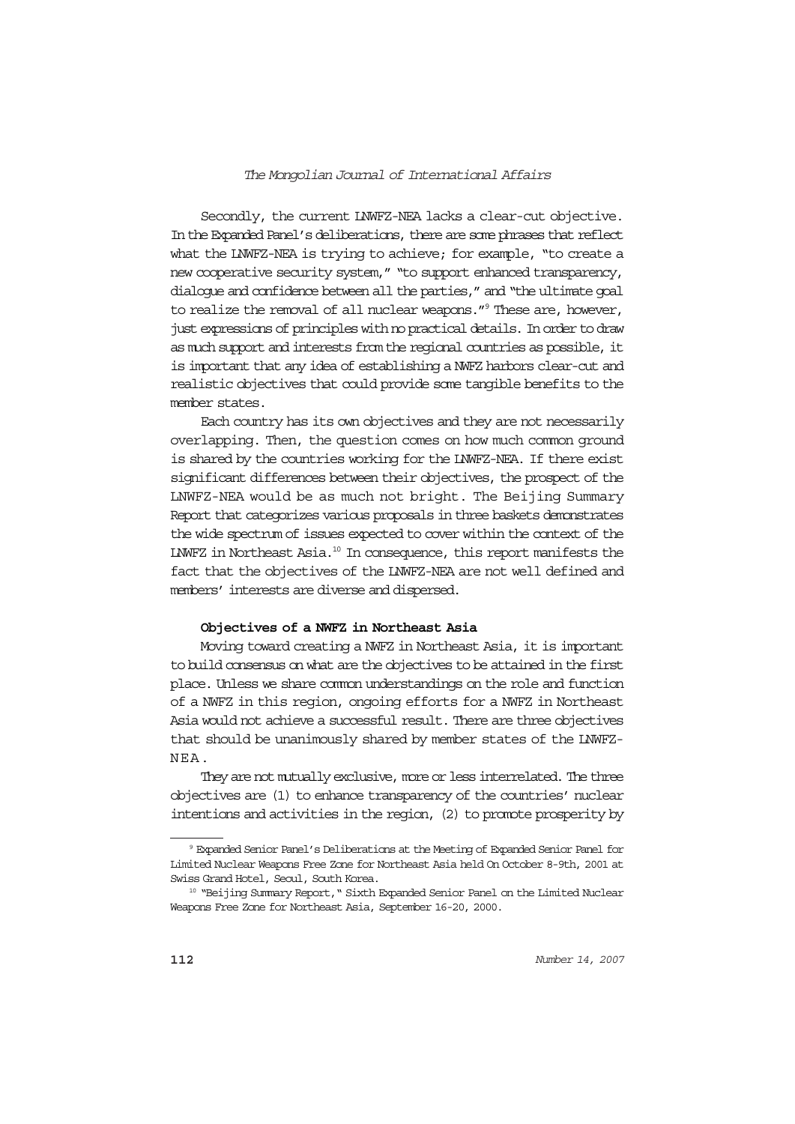Secondly, the current LNWFZ-NEA lacks a clear-cut objective. In the Expanded Panel's deliberations, there are some phrases that reflect what the LNWFZ-NEA is trying to achieve; for example, "to create a new cooperative security system," "to support enhanced transparency, dialogue and confidence between all the parties," and "the ultimate goal to realize the removal of all nuclear weapons."9 These are, however, just expressions of principles with no practical details. In order to draw as much support and interests from the regional countries as possible, it is important that any idea of establishing a NWFZ harbors clear-cut and realistic objectives that could provide some tangible benefits to the member states.

Each country has its own objectives and they are not necessarily overlapping. Then, the question comes on how much common ground is shared by the countries working for the LNWFZ-NEA. If there exist significant differences between their objectives, the prospect of the LNWFZ-NEA would be as much not bright. The Beijing Summary Report that categorizes various proposals in three baskets demonstrates the wide spectrum of issues expected to cover within the context of the LNWFZ in Northeast Asia.10 In consequence, this report manifests the fact that the objectives of the LNWFZ-NEA are not well defined and members' interests are diverse and dispersed.

## **Objectives of a NWFZ in Northeast Asia**

Moving toward creating a NWFZ in Northeast Asia, it is important to build consensus on what are the objectives to be attained in the first place. Unless we share common understandings on the role and function of a NWFZ in this region, ongoing efforts for a NWFZ in Northeast Asia would not achieve a successful result. There are three objectives that should be unanimously shared by member states of the LNWFZ-NEA.

They are not mutually exclusive, more or less interrelated. The three objectives are (1) to enhance transparency of the countries' nuclear intentions and activities in the region, (2) to promote prosperity by

<sup>9</sup> Expanded Senior Panel's Deliberations at the Meeting of Expanded Senior Panel for Limited Nuclear Weapons Free Zone for Northeast Asia held On October 8-9th, 2001 at Swiss Grand Hotel, Seoul, South Korea.

<sup>&</sup>lt;sup>10</sup> "Beijing Summary Report, " Sixth Expanded Senior Panel on the Limited Nuclear Weapons Free Zone for Northeast Asia, September 16-20, 2000.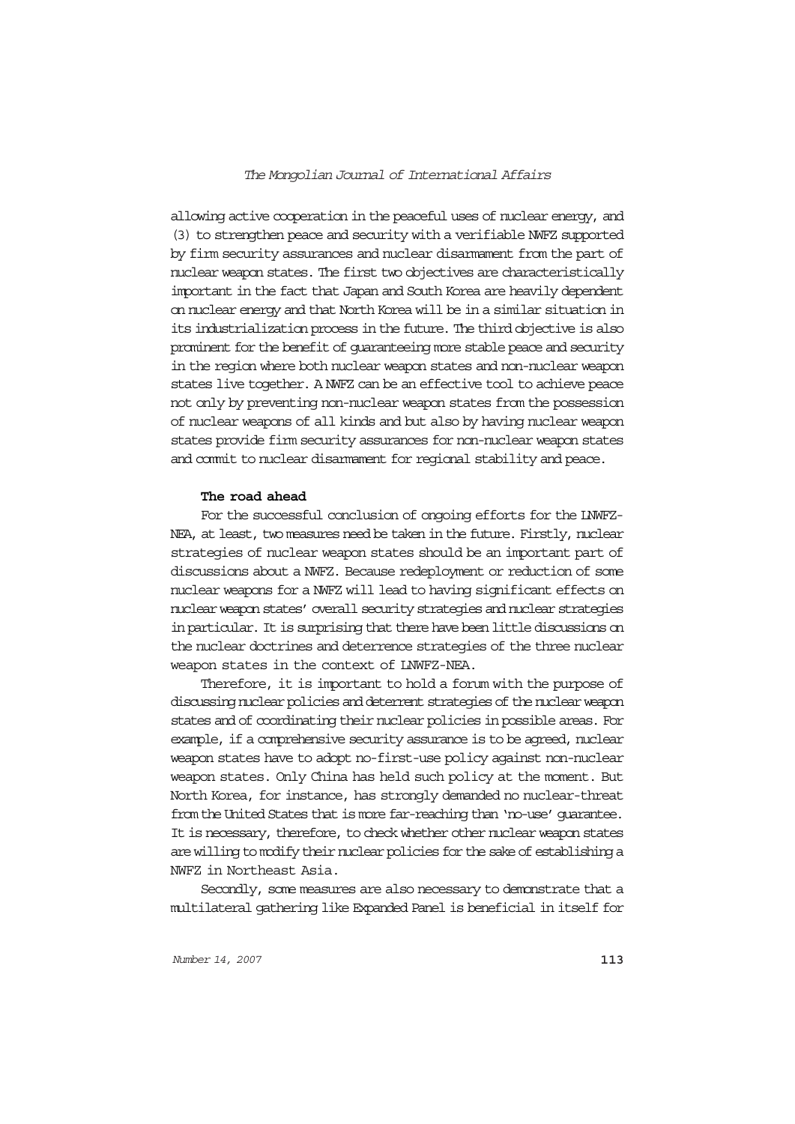allowing active cooperation in the peaceful uses of nuclear energy, and (3) to strengthen peace and security with a verifiable NWFZ supported by firm security assurances and nuclear disarmament from the part of nuclear weapon states. The first two objectives are characteristically important in the fact that Japan and South Korea are heavily dependent on nuclear energy and that North Korea will be in a similar situation in its industrialization process in the future. The third objective is also prominent for the benefit of guaranteeing more stable peace and security in the region where both nuclear weapon states and non-nuclear weapon states live together. A NWFZ can be an effective tool to achieve peace not only by preventing non-nuclear weapon states from the possession of nuclear weapons of all kinds and but also by having nuclear weapon states provide firm security assurances for non-nuclear weapon states and commit to nuclear disarmament for regional stability and peace.

### **The road ahead**

For the successful conclusion of ongoing efforts for the LNWFZ-NEA, at least, two measures need be taken in the future. Firstly, nuclear strategies of nuclear weapon states should be an important part of discussions about a NWFZ. Because redeployment or reduction of some nuclear weapons for a NWFZ will lead to having significant effects on nuclear weapon states' overall security strategies and nuclear strategies in particular. It is surprising that there have been little discussions on the nuclear doctrines and deterrence strategies of the three nuclear weapon states in the context of LNWFZ-NEA.

Therefore, it is important to hold a forum with the purpose of discussing nuclear policies and deterrent strategies of the nuclear weapon states and of coordinating their nuclear policies in possible areas. For example, if a comprehensive security assurance is to be agreed, nuclear weapon states have to adopt no-first-use policy against non-nuclear weapon states. Only China has held such policy at the moment. But North Korea, for instance, has strongly demanded no nuclear-threat from the United States that is more far-reaching than 'no-use' guarantee. It is necessary, therefore, to check whether other nuclear weapon states are willing to modify their nuclear policies for the sake of establishing a NWFZ in Northeast Asia.

Secondly, some measures are also necessary to demonstrate that a multilateral gathering like Expanded Panel is beneficial in itself for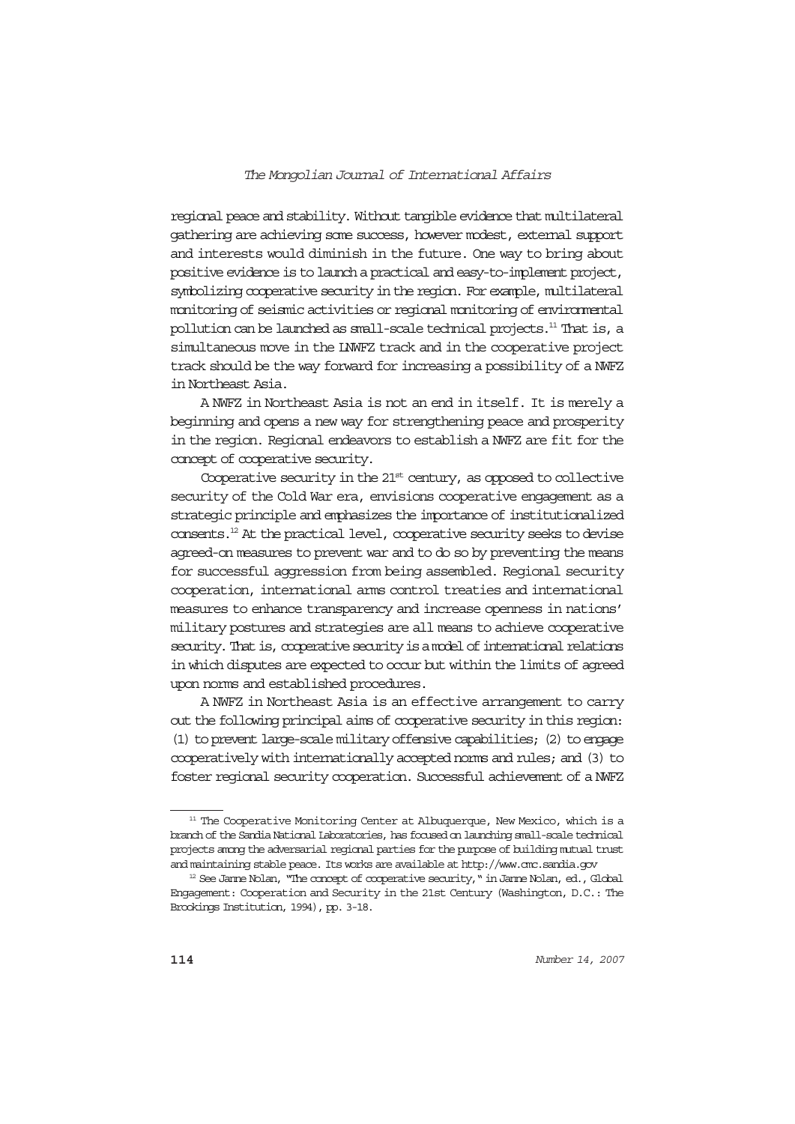regional peace and stability. Without tangible evidence that multilateral gathering are achieving some success, however modest, external support and interests would diminish in the future. One way to bring about positive evidence is to launch a practical and easy-to-implement project, symbolizing cooperative security in the region. For example, multilateral monitoring of seismic activities or regional monitoring of environmental pollution can be launched as small-scale technical projects.11 That is, a simultaneous move in the LNWFZ track and in the cooperative project track should be the way forward for increasing a possibility of a NWFZ in Northeast Asia.

A NWFZ in Northeast Asia is not an end in itself. It is merely a beginning and opens a new way for strengthening peace and prosperity in the region. Regional endeavors to establish a NWFZ are fit for the concept of cooperative security.

Cooperative security in the 21<sup>st</sup> century, as opposed to collective security of the Cold War era, envisions cooperative engagement as a strategic principle and emphasizes the importance of institutionalized consents.12 At the practical level, cooperative security seeks to devise agreed-on measures to prevent war and to do so by preventing the means for successful aggression from being assembled. Regional security cooperation, international arms control treaties and international measures to enhance transparency and increase openness in nations' military postures and strategies are all means to achieve cooperative security. That is, cooperative security is a model of international relations in which disputes are expected to occur but within the limits of agreed upon norms and established procedures.

A NWFZ in Northeast Asia is an effective arrangement to carry out the following principal aims of cooperative security in this region: (1) to prevent large-scale military offensive capabilities; (2) to engage cooperatively with internationally accepted norms and rules; and (3) to foster regional security cooperation. Successful achievement of a NWFZ

<sup>&</sup>lt;sup>11</sup> The Cooperative Monitoring Center at Albuquerque, New Mexico, which is a branch of the Sandia National Laboratories, has focused on launching small-scale technical projects among the adversarial regional parties for the purpose of building mutual trust and maintaining stable peace. Its works are available at http://www.cmc.sandia.gov

<sup>&</sup>lt;sup>12</sup> See Janne Nolan, "The concept of cooperative security," in Janne Nolan, ed., Global Engagement: Cooperation and Security in the 21st Century (Washington, D.C.: The Brookings Institution, 1994), pp. 3-18.